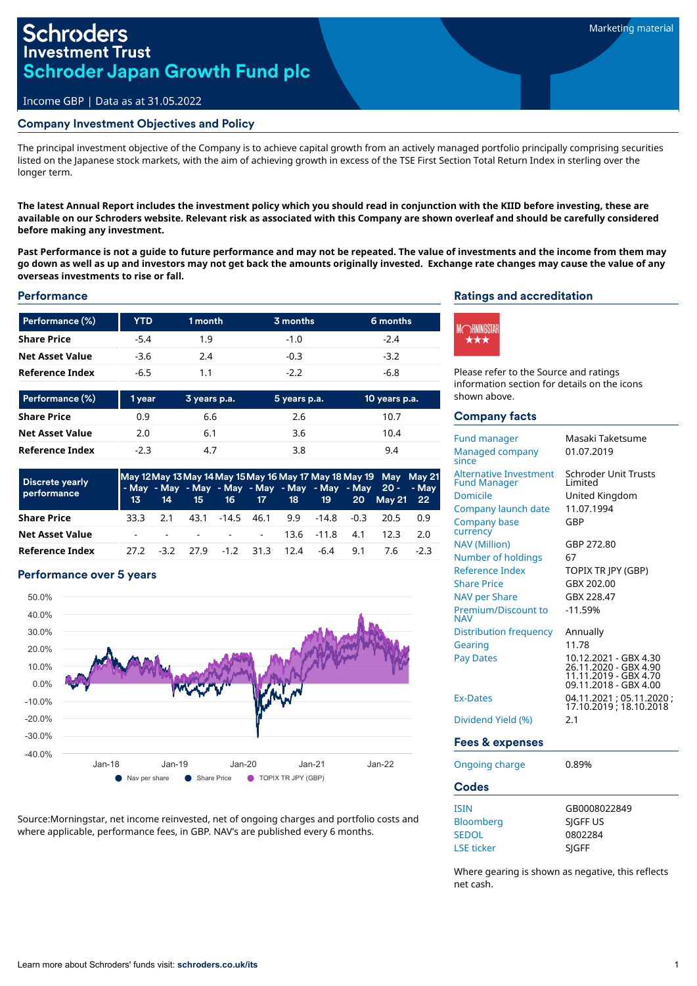# **Schroders Investment Trust Schroder Japan Growth Fund plc**

## Income GBP | Data as at 31.05.2022

#### Company Investment Objectives and Policy

The principal investment objective of the Company is to achieve capital growth from an actively managed portfolio principally comprising securities listed on the Japanese stock markets, with the aim of achieving growth in excess of the TSE First Section Total Return Index in sterling over the longer term.

The latest Annual Report includes the investment policy which you should read in conjunction with the KIID before investing, these are available on our Schroders website. Relevant risk as associated with this Company are shown overleaf and should be carefully considered **before making any investment.**

Past Performance is not a guide to future performance and may not be repeated. The value of investments and the income from them may go down as well as up and investors may not get back the amounts originally invested. Exchange rate changes may cause the value of any **overseas investments to rise or fall.**

### **Performance**

| <b>YTD</b> | 1 month | 3 months | 6 months |  |
|------------|---------|----------|----------|--|
| $-5.4$     | 1.9     | $-1.0$   | $-2.4$   |  |
| $-3.6$     | 2.4     | $-0.3$   | $-3.2$   |  |
| -6.5       | 11      | $-22$    | -6.8     |  |
|            |         |          |          |  |

| Performance (%)        | 1 year | 3 years p.a. | 5 years p.a. | 10 years p.a. |
|------------------------|--------|--------------|--------------|---------------|
| <b>Share Price</b>     | 0.9    | 6.6          | 2.6          | 10.7          |
| <b>Net Asset Value</b> | 2.0    | 6.1          | 3.6          | 10.4          |
| Reference Index        | $-2.3$ | 4.7          | 3.8          | 9.4           |

| Discrete yearly        | May 12 May 13 May 14 May 15 May 16 May 17 May 18 May 19 May May 21 |        |  |  |                     |  |                               |     |                                                                                                 |     |
|------------------------|--------------------------------------------------------------------|--------|--|--|---------------------|--|-------------------------------|-----|-------------------------------------------------------------------------------------------------|-----|
| performance            |                                                                    |        |  |  |                     |  |                               |     | - May - May - May - May - May - May - May - May 20 - - May<br>13 14 15 16 17 18 19 20 May 21 22 |     |
| <b>Share Price</b>     | २२ २                                                               | 21     |  |  |                     |  |                               |     | 43.1 -14.5 46.1 9.9 -14.8 -0.3 20.5                                                             | 0.9 |
| <b>Net Asset Value</b> | $\sim$                                                             |        |  |  |                     |  | $   13.6$ $-11.8$ $41$ $12.3$ |     |                                                                                                 | 2 O |
| Reference Index        |                                                                    | $-3.2$ |  |  | 27.9 -1.2 31.3 12.4 |  | -6.4                          | 9.1 | 76                                                                                              | -23 |

## Performance over 5 years



Source:Morningstar, net income reinvested, net of ongoing charges and portfolio costs and where applicable, performance fees, in GBP. NAV's are published every 6 months.

## Ratings and accreditation



Please refer to the Source and ratings information section for details on the icons shown above.

### Company facts

| <b>Fund manager</b><br>Managed company<br>since                                                                                                  | Masaki Taketsume<br>01.07.2019                                                                                                                                                       |
|--------------------------------------------------------------------------------------------------------------------------------------------------|--------------------------------------------------------------------------------------------------------------------------------------------------------------------------------------|
| <b>Alternative Investment</b><br><b>Fund Manager</b><br><b>Domicile</b><br>Company launch date<br><b>Company base</b><br>currency                | Schroder Unit Trusts<br>Limited<br>United Kingdom<br>11.07.1994<br>GBP                                                                                                               |
| <b>NAV</b> (Million)<br>Number of holdings<br>Reference Index<br><b>Share Price</b><br><b>NAV per Share</b><br>Premium/Discount to<br><b>NAV</b> | GBP 272.80<br>67<br>TOPIX TR IPY (GBP)<br>GBX 202.00<br>GBX 228.47<br>$-11.59%$                                                                                                      |
| Distribution frequency<br>Gearing<br><b>Pay Dates</b><br><b>Ex-Dates</b><br>Dividend Yield (%)                                                   | Annually<br>11.78<br>10.12.2021 - GBX 4.30<br>26.11.2020 - GBX 4.90<br>11.11.2019 - GBX 4.70<br>09.11.2018 - GBX 4.00<br>04.11.2021 ; 05.11.2020 ;<br>17.10.2019 ; 18.10.2018<br>2.1 |
| Fees & expenses                                                                                                                                  |                                                                                                                                                                                      |
| Oppoing charge                                                                                                                                   | n onaz                                                                                                                                                                               |

| Ongoing charge    | 0.89%        |  |  |
|-------------------|--------------|--|--|
| <b>Codes</b>      |              |  |  |
| <b>ISIN</b>       | GB0008022849 |  |  |
| <b>Bloomberg</b>  | SIGFF US     |  |  |
| <b>SEDOL</b>      | 0802284      |  |  |
| <b>LSE</b> ticker | SIGFF        |  |  |

Where gearing is shown as negative, this reflects net cash.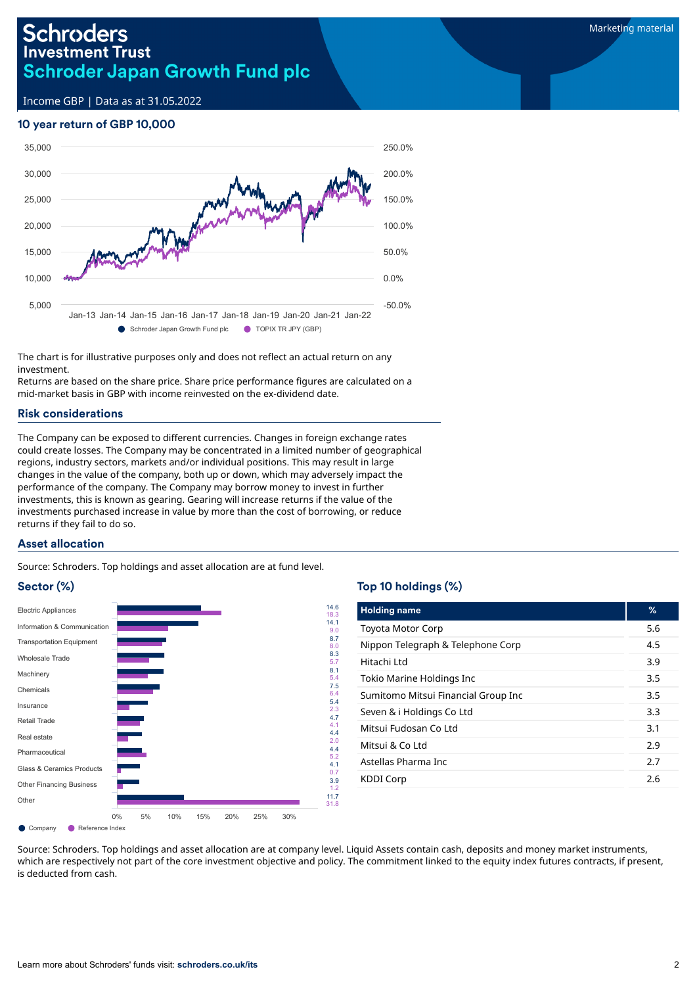# **Schroders Investment Trust Schroder Japan Growth Fund plc**

Income GBP | Data as at 31.05.2022

# 10 year return of GBP 10,000



The chart is for illustrative purposes only and does not reflect an actual return on any investment.

Returns are based on the share price. Share price performance figures are calculated on a mid-market basis in GBP with income reinvested on the ex-dividend date.

## Risk considerations

The Company can be exposed to different currencies. Changes in foreign exchange rates could create losses. The Company may be concentrated in a limited number of geographical regions, industry sectors, markets and/or individual positions. This may result in large changes in the value of the company, both up or down, which may adversely impact the performance of the company. The Company may borrow money to invest in further investments, this is known as gearing. Gearing will increase returns if the value of the investments purchased increase in value by more than the cost of borrowing, or reduce returns if they fail to do so.

## Asset allocation

Source: Schroders. Top holdings and asset allocation are at fund level.

## Sector (%)



## Top 10 holdings (%)

| <b>Holding name</b>                 | %   |
|-------------------------------------|-----|
| <b>Toyota Motor Corp</b>            | 5.6 |
| Nippon Telegraph & Telephone Corp   | 4.5 |
| Hitachi Ltd                         | 3.9 |
| Tokio Marine Holdings Inc           | 3.5 |
| Sumitomo Mitsui Financial Group Inc | 3.5 |
| Seven & i Holdings Co Ltd           | 3.3 |
| Mitsui Fudosan Co Ltd               | 3.1 |
| Mitsui & Co Ltd                     | 2.9 |
| Astellas Pharma Inc                 | 2.7 |
| <b>KDDI Corp</b>                    | 2.6 |

Source: Schroders. Top holdings and asset allocation are at company level. Liquid Assets contain cash, deposits and money market instruments, which are respectively not part of the core investment objective and policy. The commitment linked to the equity index futures contracts, if present, is deducted from cash.